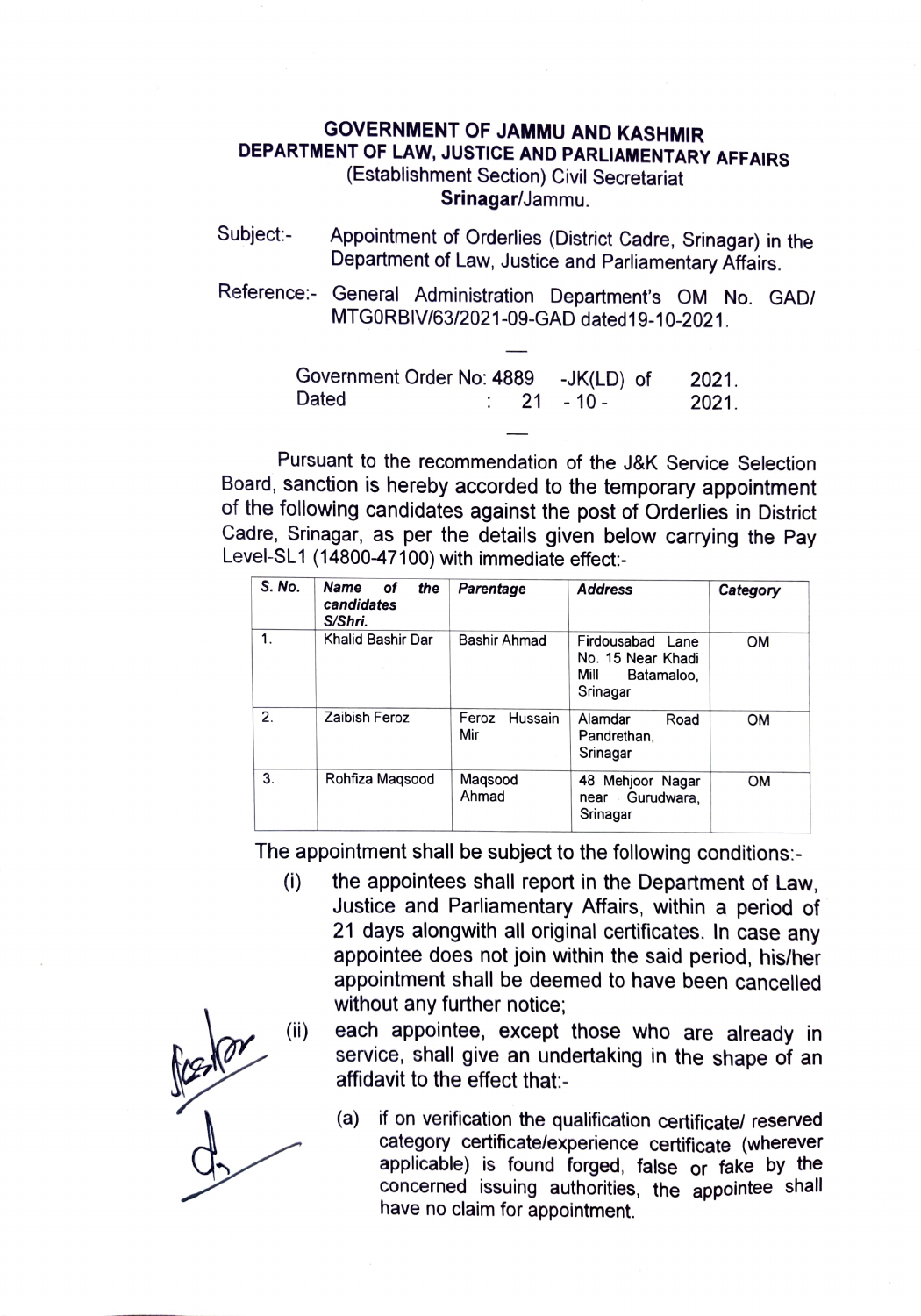## GOVERNMENT OF JAMMU AND KASHMIR DEPARTMENT OF LAW, JUSTICE AND PARLIAMENTARY AFFAIRS (Establishment Section) Civil Secretariat Srinagar/Jammu.

- Subject:- Appointment of Orderlies (District Cadre, Srinagar) in the Department of Law, Justice and Parliamentary Affairs.
- Reference: General Administration Department's OM No. GAD/ MTGORBIV/63/2021-09-GAD dated19-10-2021.

| Government Order No: 4889 -JK(LD) of |  |                        | 2021. |
|--------------------------------------|--|------------------------|-------|
| Dated                                |  | $\therefore$ 21 - 10 - | 2021. |

Pursuant to the recommendation of the J&K Service Selection Board, sanction is hereby accorded to the temporary appointment of the following candidates against the post of Orderlies in District Cadre, Srinagar, as per the details given below carrying the Pay Level-SL1 (14800-47100) with immediate effect:

| S. No. | Name<br>οf<br>the<br>candidates<br>S/Shri. | Parentage               | <b>Address</b>                                                          | Category  |
|--------|--------------------------------------------|-------------------------|-------------------------------------------------------------------------|-----------|
| 1.     | Khalid Bashir Dar                          | Bashir Ahmad            | Firdousabad Lane<br>No. 15 Near Khadi<br>Mill<br>Batamaloo.<br>Srinagar | <b>OM</b> |
| 2.     | Zaibish Feroz                              | Feroz<br>Hussain<br>Mir | Alamdar<br>Road<br>Pandrethan.<br>Srinagar                              | <b>OM</b> |
| 3.     | Rohfiza Magsood                            | Magsood<br>Ahmad        | 48 Mehjoor Nagar<br>Gurudwara.<br>near<br>Srinagar                      | <b>OM</b> |

The appointment shall be subject to the following conditions:-<br>(i) the appointees shall report in the Department of Lav

- ) the appointees shall report in the Department of Law, Justice and Parliamentary Affairs, within a period of 21 days alongwith all original certificates. In case any appointee does not join within the said period, his/her appointment shall be deemed to have been cancelled without any further notice;
- (i) each appointee, except those who are already in service, shall give an undertaking in the shape of an affidavit to the effect that
	- (a) if on verification the qualification certificate/ reserved category certificate/experience certificate (wherever applicable) is found forged, false or fake by the concerned issuing authorities, the appointee shall have no claim for appointment.

 $\frac{\int_{0}^{\infty} \frac{1}{\sqrt{1-\frac{1}{2}}} \, dx}{\int_{0}^{\infty} \frac{1}{\sqrt{1-\frac{1}{2}}} \, dx}$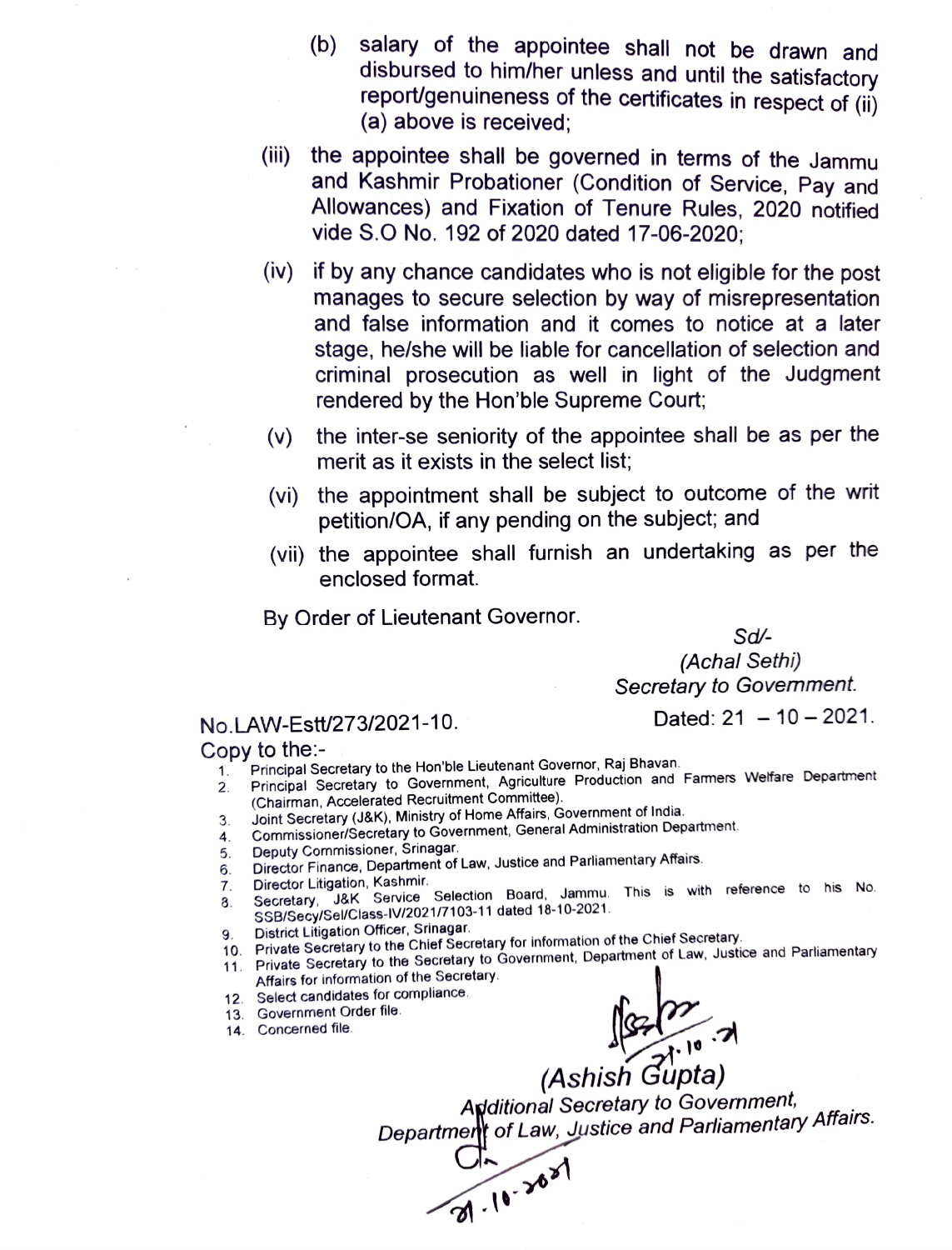- (b) salary of the appointee shall not be drawn and<br>disbursed to him/her unless and until the satisfactory report/genuineness of the certificates in respect of (ii) (a) above is received;
- (ii) the appointee shall be governed in terms of the Jammu and Kashmir Probationer (Condition of Service, Pay and Allowances) and Fixation of Tenure Rules, 2020 notified vide S.O No. 192 of 2020 dated 17-06-2020;
- (iv) if by any chance candidates who is not eligible for the post manages to secure selection by way of misrepresentation and false information and it comes to notice at a later stage, he/she will be liable for cancellation of selection and criminal prosecution as well in light of the Judgment rendered by the Hon'ble Supreme Court
- (v) the inter-se seniority of the appointee shall be as per the merit as it exists in the select list;
- (vi) the appointment shall be subject to outcome of the writ petition/OA, if any pending on the subject; and
- (vii) the appointee shall furnish an undertaking as per the enclosed format.

By Order of Lieutenant Governor.

Sd

(Achal Sethi) Secretary to Govemment.

## No.LAW-Estt/273/2021-10. Dated: 21 - 10 - 2021.

## Copy to the:-

- 
- 1. Principal Secretary to the Hon'ble Lieutenant Governor, Raj Bhavan.<br>2. Principal Secretary to Government, Agriculture Production and 2. Principal Secretary to Government, Agriculture Production and Famers Welfare Department (Chairman, Accelerated Recruitment Committee)
- 3 Joint Secretary (J&K), Ministry of Home Affairs, Government of India.
- 4. Commissioner/Secretary to Government, General Administration Department.
- Deputy Commissioner, Srinagar.
- 5. Deputy Commissioner, Srinagar.<br>6. Director Finance, Department of Law, Justice and Parliamentary Affairs.<br>7. Director Litigation, Kashmir.
- 6.<br>7.
- 7. Director Litigation, Kashmir.<br>8. Secretary, J&K Service Selection Board, Jammu. This is with reference to his No. 8. SSB/Secy/Sel/Class-IV/2021/7103-11 dated 18-10-2021.
- District Litigation Officer, Srinagar.
- 9. District Litigation Officer, Simager:<br>10. Private Secretary to the Chief Secretary for information of the Chief Secretary.
- 11. Private Secretary to the Secretary to Government, Department of Law, Justice and Parliamentary Affairs for information of the Secretary
- 12. Select candidates for compliance.
- 13. Government Order file.
- 14. Concerned file.

 $\begin{array}{c}\n\sqrt{3}.\sqrt{7}.\sqrt{10}.\sqrt{7}.\sqrt{10}.\sqrt{10}.\sqrt{10}.\sqrt{10}.\sqrt{10}.\sqrt{10}.\sqrt{10}.\sqrt{10}.\sqrt{10}.\sqrt{10}.\sqrt{10}.\sqrt{10}.\sqrt{10}.\sqrt{10}.\sqrt{10}.\sqrt{10}.\sqrt{10}.\sqrt{10}.\sqrt{10}.\sqrt{10}.\sqrt{10}.\sqrt{10}.\sqrt{10}.\sqrt{10}.\sqrt{10}.\sqrt{10}.\sqrt{10}.\sqrt{10}.\sqrt{10}.\sqrt{10}.\sqrt{10}.\sqrt{10$ Apditional Secretary to Govemment, Department of Law, Justice and Parliamentary Affairs.

C  $26<sup>8</sup>$